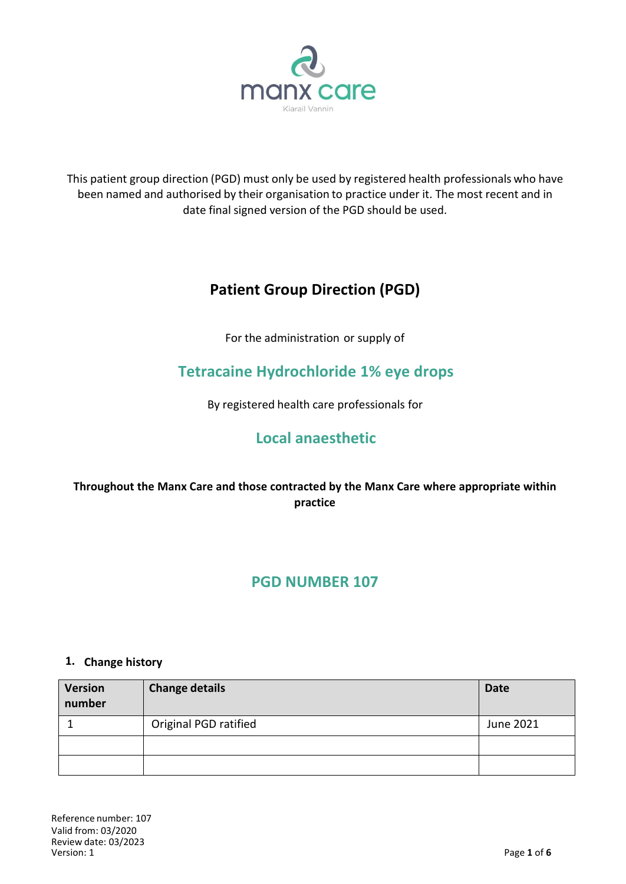

This patient group direction (PGD) must only be used by registered health professionals who have been named and authorised by their organisation to practice under it. The most recent and in date final signed version of the PGD should be used.

# **Patient Group Direction (PGD)**

For the administration or supply of

# **Tetracaine Hydrochloride 1% eye drops**

By registered health care professionals for

# **Local anaesthetic**

### **Throughout the Manx Care and those contracted by the Manx Care where appropriate within practice**

# **PGD NUMBER 107**

#### **1. Change history**

| <b>Version</b><br>number | <b>Change details</b> | <b>Date</b> |
|--------------------------|-----------------------|-------------|
|                          | Original PGD ratified | June 2021   |
|                          |                       |             |
|                          |                       |             |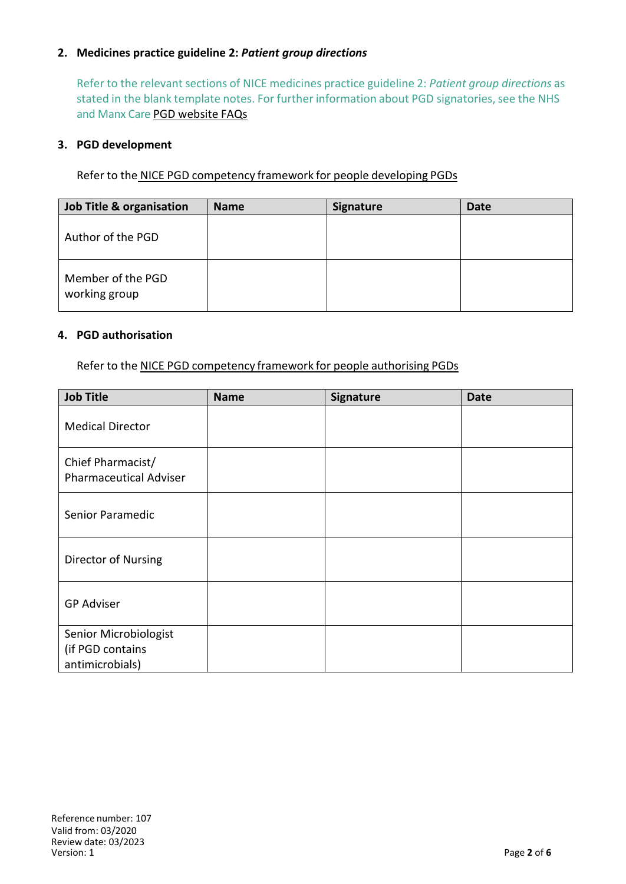#### **2. Medicines practice guideline 2:** *Patient group directions*

Refer to the relevant sections of NICE medicines practice guideline 2: *Patient group directions* as stated in the blank template notes. For further information about PGD signatories, see the NHS and Manx Care PGD website FAQs

#### **3. PGD development**

Refer to the NICE PGD competency framework for people developing PGDs

| Job Title & organisation           | <b>Name</b> | <b>Signature</b> | <b>Date</b> |
|------------------------------------|-------------|------------------|-------------|
| Author of the PGD                  |             |                  |             |
| Member of the PGD<br>working group |             |                  |             |

#### **4. PGD authorisation**

Refer to the NICE PGD competency framework for people authorising PGDs

| <b>Job Title</b>                                             | <b>Name</b> | Signature | <b>Date</b> |
|--------------------------------------------------------------|-------------|-----------|-------------|
| <b>Medical Director</b>                                      |             |           |             |
| Chief Pharmacist/<br><b>Pharmaceutical Adviser</b>           |             |           |             |
| Senior Paramedic                                             |             |           |             |
| Director of Nursing                                          |             |           |             |
| <b>GP Adviser</b>                                            |             |           |             |
| Senior Microbiologist<br>(if PGD contains<br>antimicrobials) |             |           |             |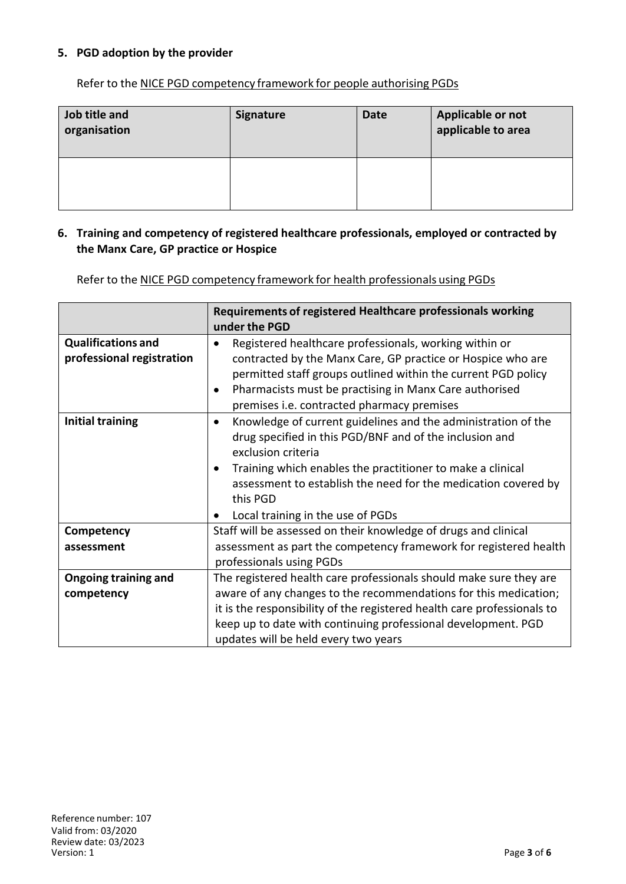#### **5. PGD adoption by the provider**

Refer to the NICE PGD competency framework for people authorising PGDs

| Job title and<br>organisation | <b>Signature</b> | <b>Date</b> | Applicable or not<br>applicable to area |
|-------------------------------|------------------|-------------|-----------------------------------------|
|                               |                  |             |                                         |

#### **6. Training and competency of registered healthcare professionals, employed or contracted by the Manx Care, GP practice or Hospice**

Refer to the NICE PGD competency framework for health professionals using PGDs

|                                                        | Requirements of registered Healthcare professionals working<br>under the PGD                                                                                                                                                                                                                                                                 |
|--------------------------------------------------------|----------------------------------------------------------------------------------------------------------------------------------------------------------------------------------------------------------------------------------------------------------------------------------------------------------------------------------------------|
| <b>Qualifications and</b><br>professional registration | Registered healthcare professionals, working within or<br>contracted by the Manx Care, GP practice or Hospice who are<br>permitted staff groups outlined within the current PGD policy<br>Pharmacists must be practising in Manx Care authorised<br>premises i.e. contracted pharmacy premises                                               |
| <b>Initial training</b>                                | Knowledge of current guidelines and the administration of the<br>$\bullet$<br>drug specified in this PGD/BNF and of the inclusion and<br>exclusion criteria<br>Training which enables the practitioner to make a clinical<br>assessment to establish the need for the medication covered by<br>this PGD<br>Local training in the use of PGDs |
| Competency                                             | Staff will be assessed on their knowledge of drugs and clinical                                                                                                                                                                                                                                                                              |
| assessment                                             | assessment as part the competency framework for registered health<br>professionals using PGDs                                                                                                                                                                                                                                                |
| <b>Ongoing training and</b>                            | The registered health care professionals should make sure they are                                                                                                                                                                                                                                                                           |
| competency                                             | aware of any changes to the recommendations for this medication;                                                                                                                                                                                                                                                                             |
|                                                        | it is the responsibility of the registered health care professionals to                                                                                                                                                                                                                                                                      |
|                                                        | keep up to date with continuing professional development. PGD                                                                                                                                                                                                                                                                                |
|                                                        | updates will be held every two years                                                                                                                                                                                                                                                                                                         |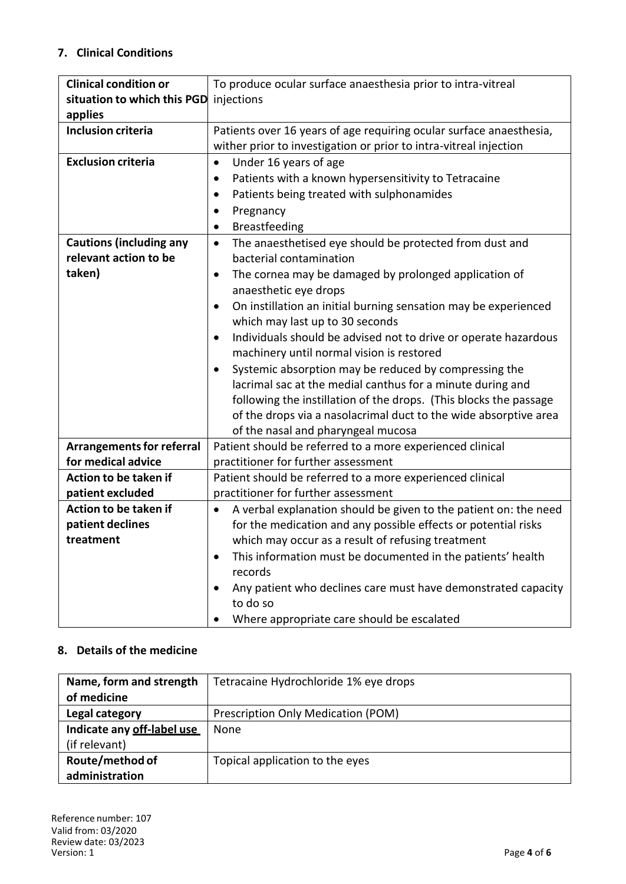### **7. Clinical Conditions**

| <b>Clinical condition or</b>     | To produce ocular surface anaesthesia prior to intra-vitreal          |  |  |
|----------------------------------|-----------------------------------------------------------------------|--|--|
| situation to which this PGD      | injections                                                            |  |  |
| applies                          |                                                                       |  |  |
| <b>Inclusion criteria</b>        | Patients over 16 years of age requiring ocular surface anaesthesia,   |  |  |
|                                  | wither prior to investigation or prior to intra-vitreal injection     |  |  |
| <b>Exclusion criteria</b>        | Under 16 years of age<br>$\bullet$                                    |  |  |
|                                  | Patients with a known hypersensitivity to Tetracaine<br>٠             |  |  |
|                                  | Patients being treated with sulphonamides                             |  |  |
|                                  | Pregnancy                                                             |  |  |
|                                  | <b>Breastfeeding</b><br>$\bullet$                                     |  |  |
| <b>Cautions (including any</b>   | The anaesthetised eye should be protected from dust and<br>$\bullet$  |  |  |
| relevant action to be            | bacterial contamination                                               |  |  |
| taken)                           | The cornea may be damaged by prolonged application of                 |  |  |
|                                  | anaesthetic eye drops                                                 |  |  |
|                                  | On instillation an initial burning sensation may be experienced       |  |  |
|                                  | which may last up to 30 seconds                                       |  |  |
|                                  | Individuals should be advised not to drive or operate hazardous       |  |  |
|                                  | machinery until normal vision is restored                             |  |  |
|                                  | Systemic absorption may be reduced by compressing the                 |  |  |
|                                  | lacrimal sac at the medial canthus for a minute during and            |  |  |
|                                  | following the instillation of the drops. (This blocks the passage     |  |  |
|                                  | of the drops via a nasolacrimal duct to the wide absorptive area      |  |  |
|                                  | of the nasal and pharyngeal mucosa                                    |  |  |
| <b>Arrangements for referral</b> | Patient should be referred to a more experienced clinical             |  |  |
| for medical advice               | practitioner for further assessment                                   |  |  |
| Action to be taken if            | Patient should be referred to a more experienced clinical             |  |  |
| patient excluded                 | practitioner for further assessment                                   |  |  |
| Action to be taken if            | A verbal explanation should be given to the patient on: the need<br>٠ |  |  |
| patient declines                 | for the medication and any possible effects or potential risks        |  |  |
| treatment                        | which may occur as a result of refusing treatment                     |  |  |
|                                  | This information must be documented in the patients' health           |  |  |
|                                  | records                                                               |  |  |
|                                  | Any patient who declines care must have demonstrated capacity         |  |  |
|                                  | to do so                                                              |  |  |
|                                  | Where appropriate care should be escalated                            |  |  |

### **8. Details of the medicine**

| Name, form and strength    | Tetracaine Hydrochloride 1% eye drops |
|----------------------------|---------------------------------------|
| of medicine                |                                       |
| Legal category             | Prescription Only Medication (POM)    |
| Indicate any off-label use | None                                  |
| (if relevant)              |                                       |
| Route/method of            | Topical application to the eyes       |
| administration             |                                       |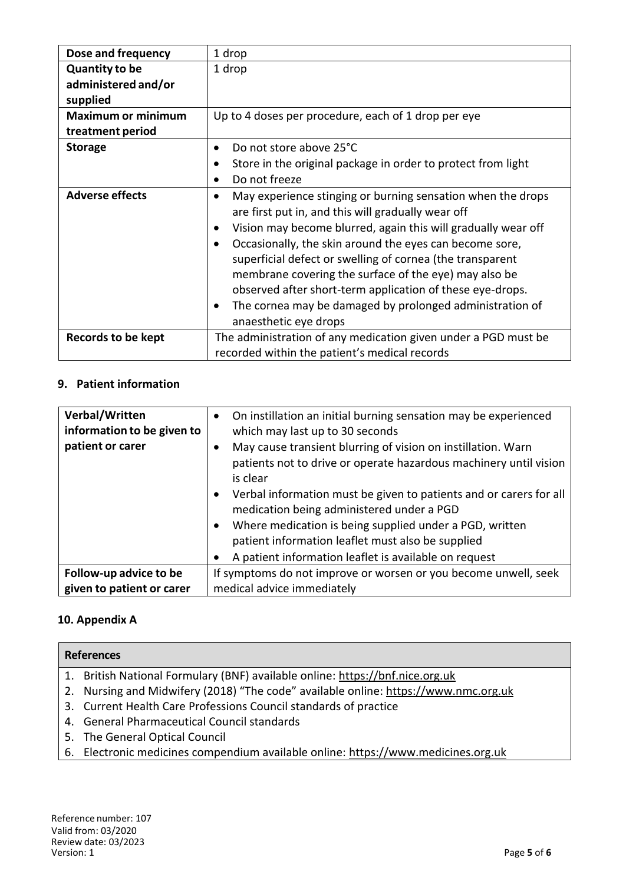| Dose and frequency        | 1 drop                                                                                                                                                                                                                                                                                                                  |
|---------------------------|-------------------------------------------------------------------------------------------------------------------------------------------------------------------------------------------------------------------------------------------------------------------------------------------------------------------------|
| <b>Quantity to be</b>     | 1 drop                                                                                                                                                                                                                                                                                                                  |
| administered and/or       |                                                                                                                                                                                                                                                                                                                         |
| supplied                  |                                                                                                                                                                                                                                                                                                                         |
| <b>Maximum or minimum</b> | Up to 4 doses per procedure, each of 1 drop per eye                                                                                                                                                                                                                                                                     |
| treatment period          |                                                                                                                                                                                                                                                                                                                         |
| <b>Storage</b>            | Do not store above 25°C<br>$\bullet$                                                                                                                                                                                                                                                                                    |
|                           | Store in the original package in order to protect from light                                                                                                                                                                                                                                                            |
|                           | Do not freeze<br>$\bullet$                                                                                                                                                                                                                                                                                              |
| <b>Adverse effects</b>    | May experience stinging or burning sensation when the drops<br>$\bullet$<br>are first put in, and this will gradually wear off<br>Vision may become blurred, again this will gradually wear off<br>Occasionally, the skin around the eyes can become sore,<br>superficial defect or swelling of cornea (the transparent |
|                           | membrane covering the surface of the eye) may also be<br>observed after short-term application of these eye-drops.<br>The cornea may be damaged by prolonged administration of<br>anaesthetic eye drops                                                                                                                 |
| Records to be kept        | The administration of any medication given under a PGD must be<br>recorded within the patient's medical records                                                                                                                                                                                                         |

## **9. Patient information**

| Verbal/Written<br>information to be given to | On instillation an initial burning sensation may be experienced<br>which may last up to 30 seconds                                            |
|----------------------------------------------|-----------------------------------------------------------------------------------------------------------------------------------------------|
| patient or carer                             | May cause transient blurring of vision on instillation. Warn<br>patients not to drive or operate hazardous machinery until vision<br>is clear |
|                                              | Verbal information must be given to patients and or carers for all<br>medication being administered under a PGD                               |
|                                              | Where medication is being supplied under a PGD, written                                                                                       |
|                                              | patient information leaflet must also be supplied                                                                                             |
|                                              | A patient information leaflet is available on request                                                                                         |
| Follow-up advice to be                       | If symptoms do not improve or worsen or you become unwell, seek                                                                               |
| given to patient or carer                    | medical advice immediately                                                                                                                    |

### **10. Appendix A**

| <b>References</b>                                                                   |
|-------------------------------------------------------------------------------------|
| 1. British National Formulary (BNF) available online: https://bnf.nice.org.uk       |
| 2. Nursing and Midwifery (2018) "The code" available online: https://www.nmc.org.uk |
| 3. Current Health Care Professions Council standards of practice                    |
| 4. General Pharmaceutical Council standards                                         |
| 5. The General Optical Council                                                      |
| 6. Electronic medicines compendium available online: https://www.medicines.org.uk   |